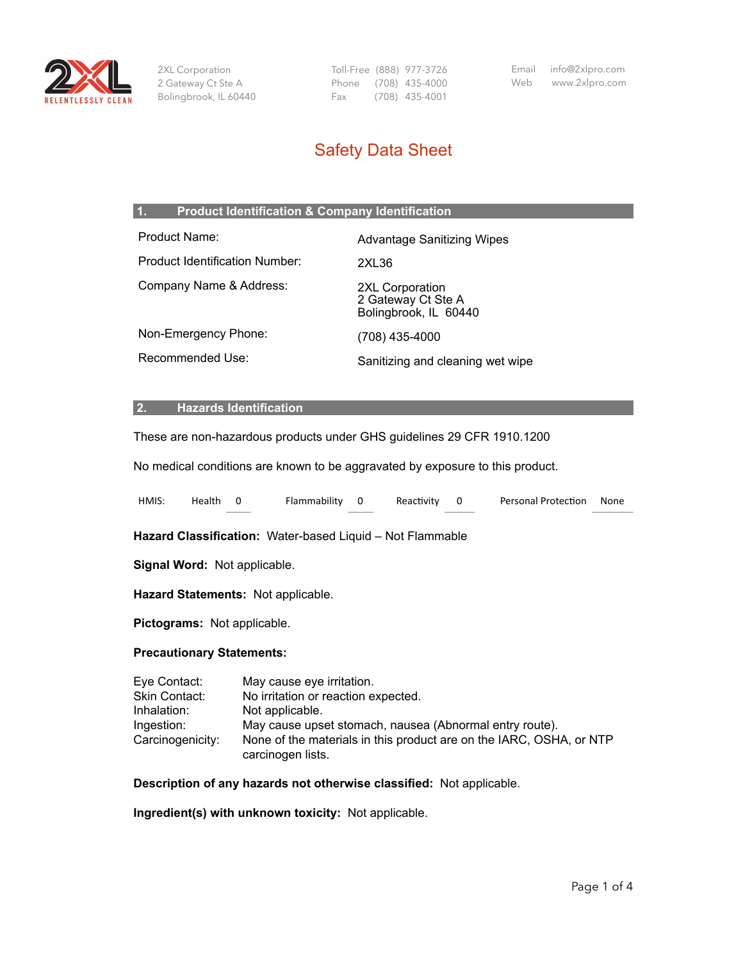

2XL Corporation 2 Gateway Ct Ste A Bolingbrook, IL 60440 Toll-Free (888) 977-3726 Phone (708) 435-4000 Fax (708) 435-4001

Email info@2xlpro.com Web www.2xlpro.com

# Safety Data Sheet

# **1. Product Identification & Company Identification**

| Product Name:                  | <b>Advantage Sanitizing Wipes</b>                              |
|--------------------------------|----------------------------------------------------------------|
| Product Identification Number: | 2XL36                                                          |
| Company Name & Address:        | 2XL Corporation<br>2 Gateway Ct Ste A<br>Bolingbrook, IL 60440 |
| Non-Emergency Phone:           | (708) 435-4000                                                 |
| Recommended Use:               | Sanitizing and cleaning wet wipe                               |

#### **2. Hazards Identification**

These are non-hazardous products under GHS guidelines 29 CFR 1910.1200

No medical conditions are known to be aggravated by exposure to this product.

| HMIS:                                                      | Health | 0 | Flammability                                                                                                                                   | 0 | Reactivity | 0 | <b>Personal Protection</b>                                          | None |
|------------------------------------------------------------|--------|---|------------------------------------------------------------------------------------------------------------------------------------------------|---|------------|---|---------------------------------------------------------------------|------|
|                                                            |        |   | Hazard Classification: Water-based Liquid - Not Flammable                                                                                      |   |            |   |                                                                     |      |
| Signal Word: Not applicable.                               |        |   |                                                                                                                                                |   |            |   |                                                                     |      |
| Hazard Statements: Not applicable.                         |        |   |                                                                                                                                                |   |            |   |                                                                     |      |
| Pictograms: Not applicable.                                |        |   |                                                                                                                                                |   |            |   |                                                                     |      |
| <b>Precautionary Statements:</b>                           |        |   |                                                                                                                                                |   |            |   |                                                                     |      |
| Eye Contact:<br>Skin Contact:<br>Inhalation:<br>Ingestion: |        |   | May cause eye irritation.<br>No irritation or reaction expected.<br>Not applicable.<br>May cause upset stomach, nausea (Abnormal entry route). |   |            |   |                                                                     |      |
| Carcinogenicity:                                           |        |   |                                                                                                                                                |   |            |   | None of the materials in this product are on the IARC, OSHA, or NTP |      |

**Description of any hazards not otherwise classified:** Not applicable.

**Ingredient(s) with unknown toxicity:** Not applicable.

carcinogen lists.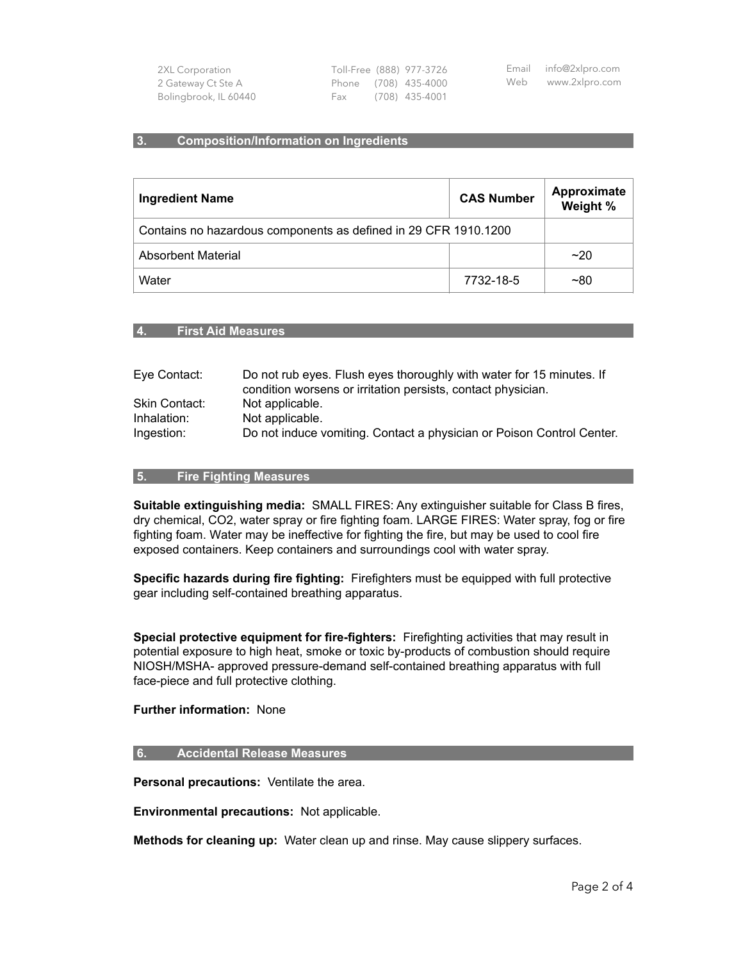| 2XL Corporation       |     | Toll-Free (888) 977-3726 | Email info@2xlpro.com |
|-----------------------|-----|--------------------------|-----------------------|
| 2 Gateway Ct Ste A    |     | Phone (708) 435-4000     | Web www.2xlpro.com    |
| Bolingbrook, IL 60440 | Fax | (708) 435-4001           |                       |

#### **3. Composition/Information on Ingredients**

| <b>Ingredient Name</b>                                          | <b>CAS Number</b> | Approximate<br>Weight % |
|-----------------------------------------------------------------|-------------------|-------------------------|
| Contains no hazardous components as defined in 29 CFR 1910.1200 |                   |                         |
| Absorbent Material                                              | ~20               |                         |
| Water                                                           | 7732-18-5         | ~180                    |

#### **4. First Aid Measures**

| Do not rub eyes. Flush eyes thoroughly with water for 15 minutes. If<br>condition worsens or irritation persists, contact physician. |
|--------------------------------------------------------------------------------------------------------------------------------------|
| Not applicable.                                                                                                                      |
| Not applicable.                                                                                                                      |
| Do not induce vomiting. Contact a physician or Poison Control Center.                                                                |
|                                                                                                                                      |

#### **5. Fire Fighting Measures**

**Suitable extinguishing media:** SMALL FIRES: Any extinguisher suitable for Class B fires, dry chemical, CO2, water spray or fire fighting foam. LARGE FIRES: Water spray, fog or fire fighting foam. Water may be ineffective for fighting the fire, but may be used to cool fire exposed containers. Keep containers and surroundings cool with water spray.

**Specific hazards during fire fighting:** Firefighters must be equipped with full protective gear including self-contained breathing apparatus.

**Special protective equipment for fire-fighters:** Firefighting activities that may result in potential exposure to high heat, smoke or toxic by-products of combustion should require NIOSH/MSHA- approved pressure-demand self-contained breathing apparatus with full face-piece and full protective clothing.

#### **Further information:** None

#### **6. Accidental Release Measures**

**Personal precautions:** Ventilate the area.

**Environmental precautions:** Not applicable.

**Methods for cleaning up:** Water clean up and rinse. May cause slippery surfaces.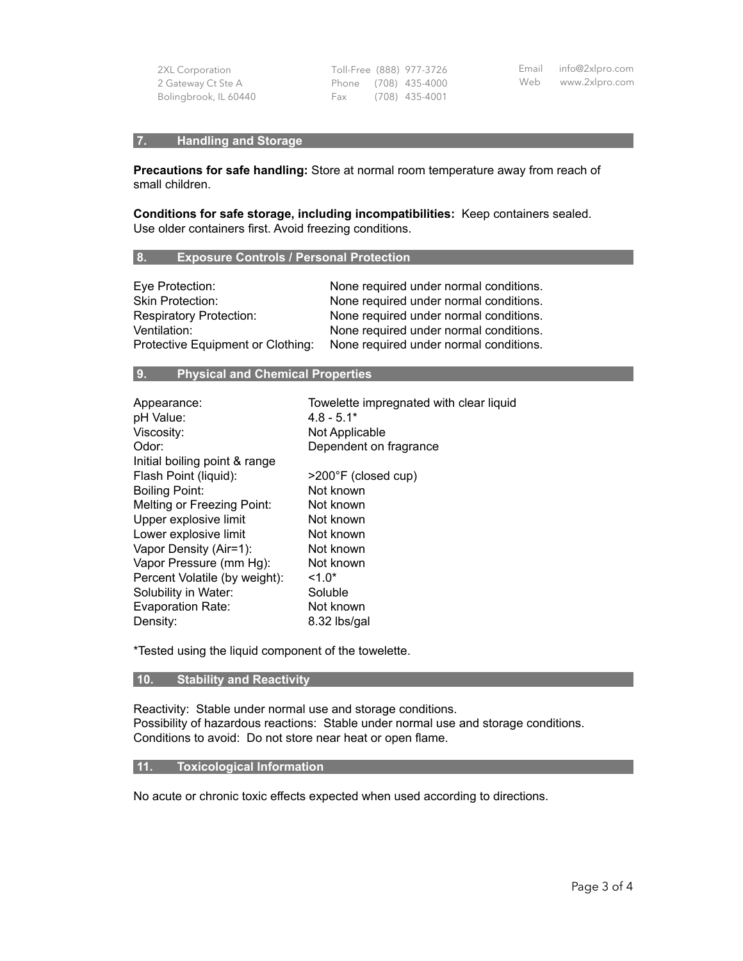| 2XL Corporation       |  | Toll-Free (888) 977-3726 | Email info@2xlpro.com |
|-----------------------|--|--------------------------|-----------------------|
| 2 Gateway Ct Ste A    |  | Phone (708) 435-4000     | Web www.2xlpro.com    |
| Bolingbrook, IL 60440 |  | Fax (708) 435-4001       |                       |

# **7. Handling and Storage**

**Precautions for safe handling:** Store at normal room temperature away from reach of small children.

**Conditions for safe storage, including incompatibilities:** Keep containers sealed. Use older containers first. Avoid freezing conditions.

## **8. Exposure Controls / Personal Protection**

| Eye Protection:                   | None required under normal conditions. |
|-----------------------------------|----------------------------------------|
| <b>Skin Protection:</b>           | None required under normal conditions. |
| <b>Respiratory Protection:</b>    | None required under normal conditions. |
| Ventilation:                      | None required under normal conditions. |
| Protective Equipment or Clothing: | None required under normal conditions. |

# **9. Physical and Chemical Properties**

| Appearance:                   | Towelette impregnated with clear liquid |
|-------------------------------|-----------------------------------------|
| pH Value:                     | $4.8 - 5.1*$                            |
| Viscosity:                    | Not Applicable                          |
| Odor:                         | Dependent on fragrance                  |
| Initial boiling point & range |                                         |
| Flash Point (liquid):         | >200°F (closed cup)                     |
| <b>Boiling Point:</b>         | Not known                               |
| Melting or Freezing Point:    | Not known                               |
| Upper explosive limit         | Not known                               |
| Lower explosive limit         | Not known                               |
| Vapor Density (Air=1):        | Not known                               |
| Vapor Pressure (mm Hg):       | Not known                               |
| Percent Volatile (by weight): | $1.0*$                                  |
| Solubility in Water:          | Soluble                                 |
| Evaporation Rate:             | Not known                               |
| Density:                      | 8.32 lbs/gal                            |

\*Tested using the liquid component of the towelette.

# **10. Stability and Reactivity**

Reactivity: Stable under normal use and storage conditions. Possibility of hazardous reactions: Stable under normal use and storage conditions. Conditions to avoid: Do not store near heat or open flame.

# **11. Toxicological Information**

No acute or chronic toxic effects expected when used according to directions.